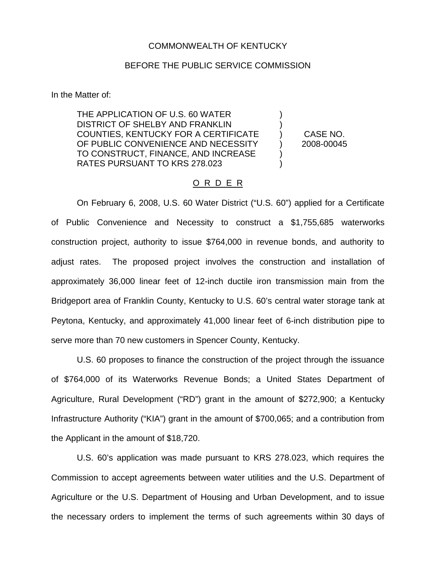#### COMMONWEALTH OF KENTUCKY

### BEFORE THE PUBLIC SERVICE COMMISSION

In the Matter of:

THE APPLICATION OF U.S. 60 WATER DISTRICT OF SHELBY AND FRANKLIN COUNTIES, KENTUCKY FOR A CERTIFICATE OF PUBLIC CONVENIENCE AND NECESSITY TO CONSTRUCT, FINANCE, AND INCREASE RATES PURSUANT TO KRS 278.023

CASE NO. 2008-00045

 $\lambda$ )  $\lambda$ ) ) )

## O R D E R

On February 6, 2008, U.S. 60 Water District ("U.S. 60") applied for a Certificate of Public Convenience and Necessity to construct a \$1,755,685 waterworks construction project, authority to issue \$764,000 in revenue bonds, and authority to adjust rates. The proposed project involves the construction and installation of approximately 36,000 linear feet of 12-inch ductile iron transmission main from the Bridgeport area of Franklin County, Kentucky to U.S. 60's central water storage tank at Peytona, Kentucky, and approximately 41,000 linear feet of 6-inch distribution pipe to serve more than 70 new customers in Spencer County, Kentucky.

U.S. 60 proposes to finance the construction of the project through the issuance of \$764,000 of its Waterworks Revenue Bonds; a United States Department of Agriculture, Rural Development ("RD") grant in the amount of \$272,900; a Kentucky Infrastructure Authority ("KIA") grant in the amount of \$700,065; and a contribution from the Applicant in the amount of \$18,720.

U.S. 60's application was made pursuant to KRS 278.023, which requires the Commission to accept agreements between water utilities and the U.S. Department of Agriculture or the U.S. Department of Housing and Urban Development, and to issue the necessary orders to implement the terms of such agreements within 30 days of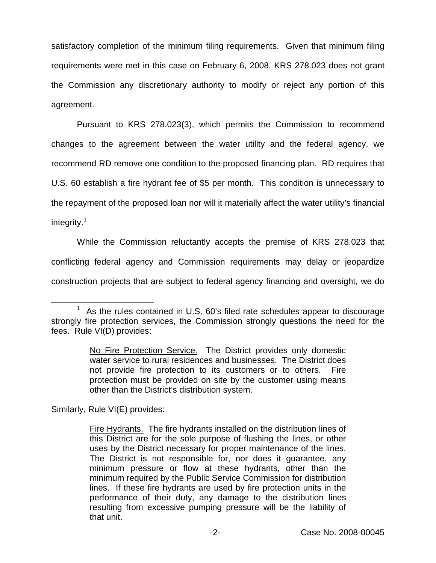satisfactory completion of the minimum filing requirements. Given that minimum filing requirements were met in this case on February 6, 2008, KRS 278.023 does not grant the Commission any discretionary authority to modify or reject any portion of this agreement.

Pursuant to KRS 278.023(3), which permits the Commission to recommend changes to the agreement between the water utility and the federal agency, we recommend RD remove one condition to the proposed financing plan. RD requires that U.S. 60 establish a fire hydrant fee of \$5 per month. This condition is unnecessary to the repayment of the proposed loan nor will it materially affect the water utility's financial integrity.<sup>1</sup>

While the Commission reluctantly accepts the premise of KRS 278.023 that conflicting federal agency and Commission requirements may delay or jeopardize construction projects that are subject to federal agency financing and oversight, we do

Similarly, Rule VI(E) provides:

<sup>&</sup>lt;sup>1</sup> As the rules contained in U.S. 60's filed rate schedules appear to discourage strongly fire protection services, the Commission strongly questions the need for the fees. Rule VI(D) provides:

No Fire Protection Service. The District provides only domestic water service to rural residences and businesses. The District does not provide fire protection to its customers or to others. Fire protection must be provided on site by the customer using means other than the District's distribution system.

Fire Hydrants. The fire hydrants installed on the distribution lines of this District are for the sole purpose of flushing the lines, or other uses by the District necessary for proper maintenance of the lines. The District is not responsible for, nor does it guarantee, any minimum pressure or flow at these hydrants, other than the minimum required by the Public Service Commission for distribution lines. If these fire hydrants are used by fire protection units in the performance of their duty, any damage to the distribution lines resulting from excessive pumping pressure will be the liability of that unit.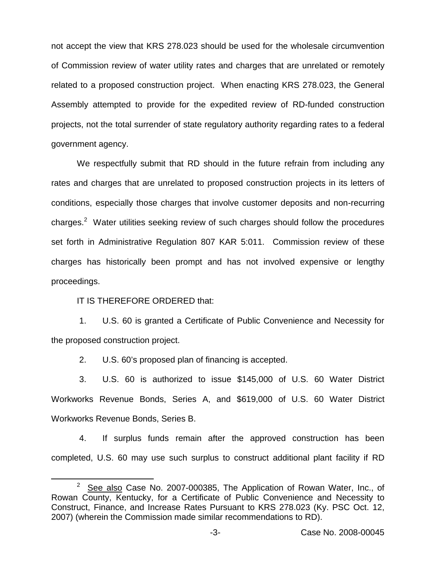not accept the view that KRS 278.023 should be used for the wholesale circumvention of Commission review of water utility rates and charges that are unrelated or remotely related to a proposed construction project. When enacting KRS 278.023, the General Assembly attempted to provide for the expedited review of RD-funded construction projects, not the total surrender of state regulatory authority regarding rates to a federal government agency.

We respectfully submit that RD should in the future refrain from including any rates and charges that are unrelated to proposed construction projects in its letters of conditions, especially those charges that involve customer deposits and non-recurring charges.<sup>2</sup> Water utilities seeking review of such charges should follow the procedures set forth in Administrative Regulation 807 KAR 5:011. Commission review of these charges has historically been prompt and has not involved expensive or lengthy proceedings.

IT IS THEREFORE ORDERED that:

1. U.S. 60 is granted a Certificate of Public Convenience and Necessity for the proposed construction project.

2. U.S. 60's proposed plan of financing is accepted.

3. U.S. 60 is authorized to issue \$145,000 of U.S. 60 Water District Workworks Revenue Bonds, Series A, and \$619,000 of U.S. 60 Water District Workworks Revenue Bonds, Series B.

4. If surplus funds remain after the approved construction has been completed, U.S. 60 may use such surplus to construct additional plant facility if RD

 $2^{2}$  See also Case No. 2007-000385, The Application of Rowan Water, Inc., of Rowan County, Kentucky, for a Certificate of Public Convenience and Necessity to Construct, Finance, and Increase Rates Pursuant to KRS 278.023 (Ky. PSC Oct. 12, 2007) (wherein the Commission made similar recommendations to RD).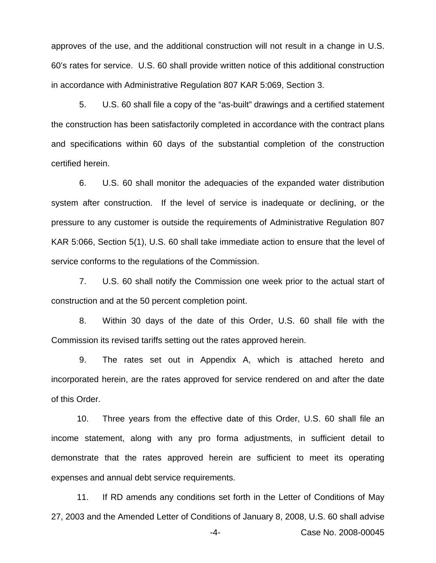approves of the use, and the additional construction will not result in a change in U.S. 60's rates for service. U.S. 60 shall provide written notice of this additional construction in accordance with Administrative Regulation 807 KAR 5:069, Section 3.

5. U.S. 60 shall file a copy of the "as-built" drawings and a certified statement the construction has been satisfactorily completed in accordance with the contract plans and specifications within 60 days of the substantial completion of the construction certified herein.

6. U.S. 60 shall monitor the adequacies of the expanded water distribution system after construction. If the level of service is inadequate or declining, or the pressure to any customer is outside the requirements of Administrative Regulation 807 KAR 5:066, Section 5(1), U.S. 60 shall take immediate action to ensure that the level of service conforms to the regulations of the Commission.

7. U.S. 60 shall notify the Commission one week prior to the actual start of construction and at the 50 percent completion point.

8. Within 30 days of the date of this Order, U.S. 60 shall file with the Commission its revised tariffs setting out the rates approved herein.

9. The rates set out in Appendix A, which is attached hereto and incorporated herein, are the rates approved for service rendered on and after the date of this Order.

10. Three years from the effective date of this Order, U.S. 60 shall file an income statement, along with any pro forma adjustments, in sufficient detail to demonstrate that the rates approved herein are sufficient to meet its operating expenses and annual debt service requirements.

11. If RD amends any conditions set forth in the Letter of Conditions of May 27, 2003 and the Amended Letter of Conditions of January 8, 2008, U.S. 60 shall advise

-4- Case No. 2008-00045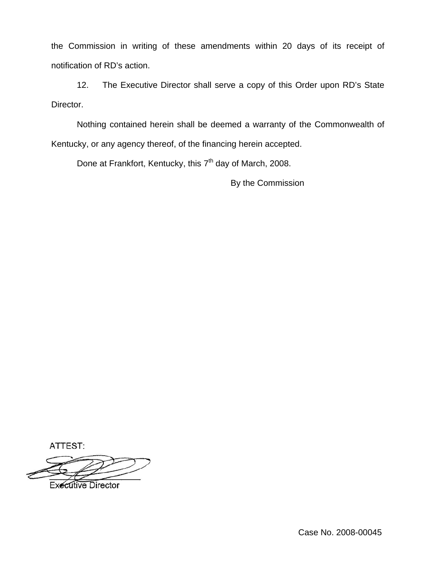the Commission in writing of these amendments within 20 days of its receipt of notification of RD's action.

12. The Executive Director shall serve a copy of this Order upon RD's State Director.

Nothing contained herein shall be deemed a warranty of the Commonwealth of Kentucky, or any agency thereof, of the financing herein accepted.

Done at Frankfort, Kentucky, this 7<sup>th</sup> day of March, 2008.

By the Commission

ATTEST:

**Executive Director** 

Case No. 2008-00045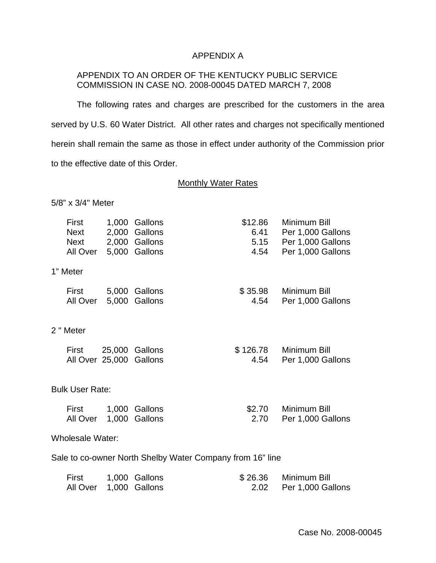# APPENDIX A

## APPENDIX TO AN ORDER OF THE KENTUCKY PUBLIC SERVICE COMMISSION IN CASE NO. 2008-00045 DATED MARCH 7, 2008

The following rates and charges are prescribed for the customers in the area served by U.S. 60 Water District. All other rates and charges not specifically mentioned herein shall remain the same as those in effect under authority of the Commission prior to the effective date of this Order.

### **Monthly Water Rates**

# 5/8" x 3/4" Meter

|                                                           | <b>First</b>            |  | 1,000 Gallons | \$12.86 | Minimum Bill           |  |  |  |  |
|-----------------------------------------------------------|-------------------------|--|---------------|---------|------------------------|--|--|--|--|
|                                                           | Next                    |  | 2,000 Gallons |         | 6.41 Per 1,000 Gallons |  |  |  |  |
|                                                           | Next 2,000 Gallons      |  |               |         | 5.15 Per 1,000 Gallons |  |  |  |  |
|                                                           | All Over 5,000 Gallons  |  |               |         | 4.54 Per 1,000 Gallons |  |  |  |  |
|                                                           | 1" Meter                |  |               |         |                        |  |  |  |  |
|                                                           | First 5,000 Gallons     |  |               |         | \$35.98 Minimum Bill   |  |  |  |  |
|                                                           | All Over 5,000 Gallons  |  |               |         | 4.54 Per 1,000 Gallons |  |  |  |  |
|                                                           |                         |  |               |         |                        |  |  |  |  |
|                                                           | 2 " Meter               |  |               |         |                        |  |  |  |  |
|                                                           | First 25,000 Gallons    |  |               |         | \$126.78 Minimum Bill  |  |  |  |  |
|                                                           | All Over 25,000 Gallons |  |               |         | 4.54 Per 1,000 Gallons |  |  |  |  |
|                                                           |                         |  |               |         |                        |  |  |  |  |
| <b>Bulk User Rate:</b>                                    |                         |  |               |         |                        |  |  |  |  |
|                                                           | First 1,000 Gallons     |  |               | \$2.70  | Minimum Bill           |  |  |  |  |
|                                                           | All Over 1,000 Gallons  |  |               |         | 2.70 Per 1,000 Gallons |  |  |  |  |
|                                                           | <b>Wholesale Water:</b> |  |               |         |                        |  |  |  |  |
| Sale to co-owner North Shelby Water Company from 16" line |                         |  |               |         |                        |  |  |  |  |
|                                                           |                         |  |               |         |                        |  |  |  |  |

| First                  | 1,000 Gallons | $$26.36$ Minimum Bill  |
|------------------------|---------------|------------------------|
| All Over 1,000 Gallons |               | 2.02 Per 1,000 Gallons |